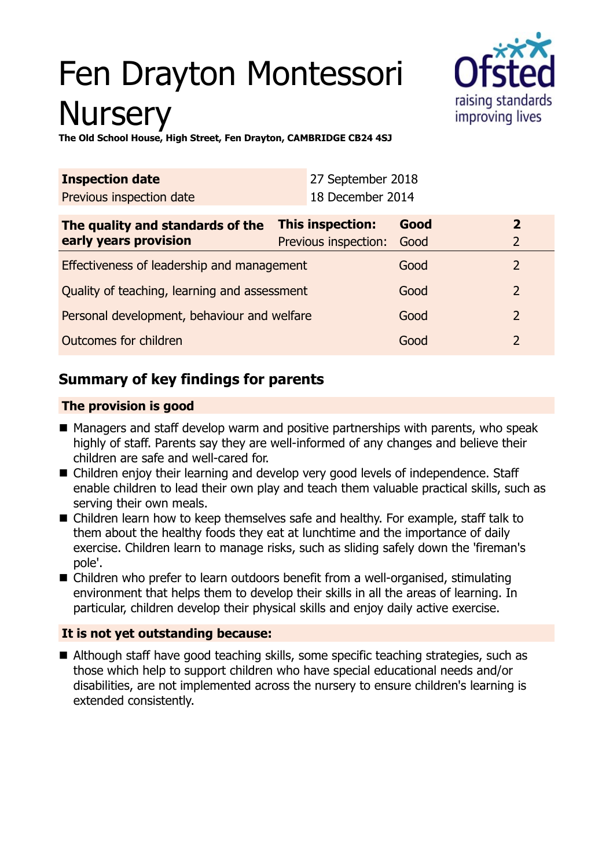# Fen Drayton Montessori **Nursery**



**The Old School House, High Street, Fen Drayton, CAMBRIDGE CB24 4SJ**

| <b>Inspection date</b>                       |  | 27 September 2018       |      |                |
|----------------------------------------------|--|-------------------------|------|----------------|
| Previous inspection date                     |  | 18 December 2014        |      |                |
| The quality and standards of the             |  | <b>This inspection:</b> | Good | $\overline{2}$ |
| early years provision                        |  | Previous inspection:    | Good | $\overline{2}$ |
| Effectiveness of leadership and management   |  |                         | Good | $\overline{2}$ |
| Quality of teaching, learning and assessment |  |                         | Good | $\mathcal{P}$  |
| Personal development, behaviour and welfare  |  |                         | Good | $\mathcal{P}$  |
| Outcomes for children                        |  |                         | Good | $\mathcal{P}$  |

## **Summary of key findings for parents**

#### **The provision is good**

- $\blacksquare$  Managers and staff develop warm and positive partnerships with parents, who speak highly of staff. Parents say they are well-informed of any changes and believe their children are safe and well-cared for.
- Children enjoy their learning and develop very good levels of independence. Staff enable children to lead their own play and teach them valuable practical skills, such as serving their own meals.
- Children learn how to keep themselves safe and healthy. For example, staff talk to them about the healthy foods they eat at lunchtime and the importance of daily exercise. Children learn to manage risks, such as sliding safely down the 'fireman's pole'.
- $\blacksquare$  Children who prefer to learn outdoors benefit from a well-organised, stimulating environment that helps them to develop their skills in all the areas of learning. In particular, children develop their physical skills and enjoy daily active exercise.

#### **It is not yet outstanding because:**

■ Although staff have good teaching skills, some specific teaching strategies, such as those which help to support children who have special educational needs and/or disabilities, are not implemented across the nursery to ensure children's learning is extended consistently.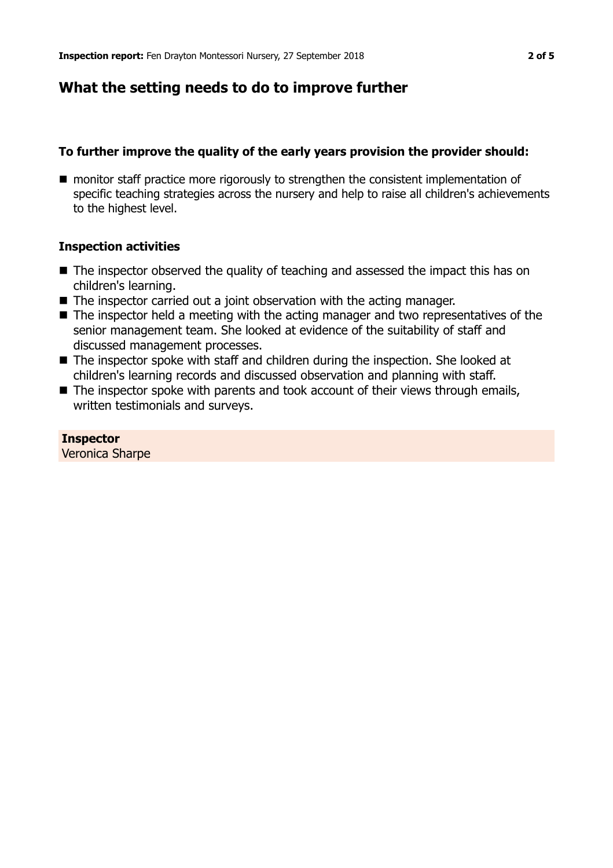## **What the setting needs to do to improve further**

#### **To further improve the quality of the early years provision the provider should:**

■ monitor staff practice more rigorously to strengthen the consistent implementation of specific teaching strategies across the nursery and help to raise all children's achievements to the highest level.

#### **Inspection activities**

- $\blacksquare$  The inspector observed the quality of teaching and assessed the impact this has on children's learning.
- The inspector carried out a joint observation with the acting manager.
- $\blacksquare$  The inspector held a meeting with the acting manager and two representatives of the senior management team. She looked at evidence of the suitability of staff and discussed management processes.
- $\blacksquare$  The inspector spoke with staff and children during the inspection. She looked at children's learning records and discussed observation and planning with staff.
- $\blacksquare$  The inspector spoke with parents and took account of their views through emails, written testimonials and surveys.

#### **Inspector**

Veronica Sharpe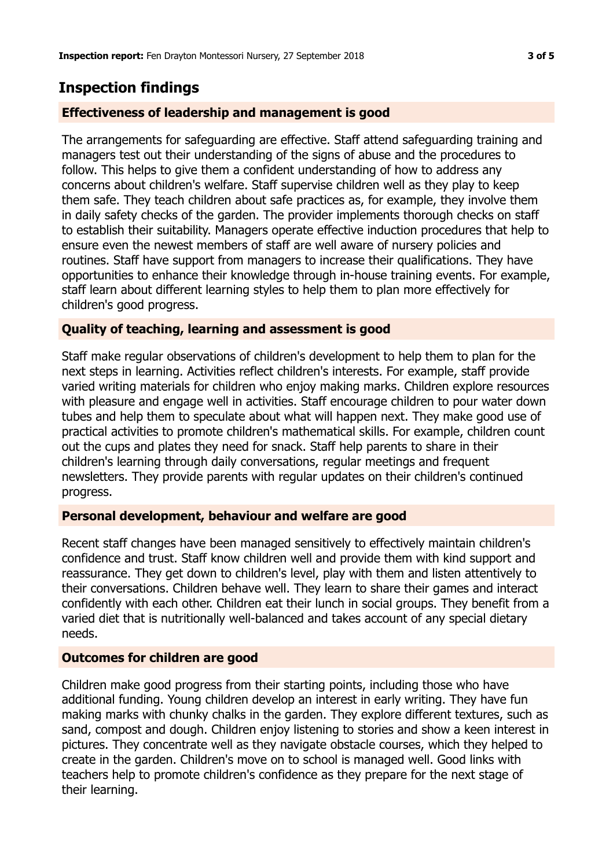## **Inspection findings**

#### **Effectiveness of leadership and management is good**

The arrangements for safeguarding are effective. Staff attend safeguarding training and managers test out their understanding of the signs of abuse and the procedures to follow. This helps to give them a confident understanding of how to address any concerns about children's welfare. Staff supervise children well as they play to keep them safe. They teach children about safe practices as, for example, they involve them in daily safety checks of the garden. The provider implements thorough checks on staff to establish their suitability. Managers operate effective induction procedures that help to ensure even the newest members of staff are well aware of nursery policies and routines. Staff have support from managers to increase their qualifications. They have opportunities to enhance their knowledge through in-house training events. For example, staff learn about different learning styles to help them to plan more effectively for children's good progress.

#### **Quality of teaching, learning and assessment is good**

Staff make regular observations of children's development to help them to plan for the next steps in learning. Activities reflect children's interests. For example, staff provide varied writing materials for children who enjoy making marks. Children explore resources with pleasure and engage well in activities. Staff encourage children to pour water down tubes and help them to speculate about what will happen next. They make good use of practical activities to promote children's mathematical skills. For example, children count out the cups and plates they need for snack. Staff help parents to share in their children's learning through daily conversations, regular meetings and frequent newsletters. They provide parents with regular updates on their children's continued progress.

#### **Personal development, behaviour and welfare are good**

Recent staff changes have been managed sensitively to effectively maintain children's confidence and trust. Staff know children well and provide them with kind support and reassurance. They get down to children's level, play with them and listen attentively to their conversations. Children behave well. They learn to share their games and interact confidently with each other. Children eat their lunch in social groups. They benefit from a varied diet that is nutritionally well-balanced and takes account of any special dietary needs.

#### **Outcomes for children are good**

Children make good progress from their starting points, including those who have additional funding. Young children develop an interest in early writing. They have fun making marks with chunky chalks in the garden. They explore different textures, such as sand, compost and dough. Children enjoy listening to stories and show a keen interest in pictures. They concentrate well as they navigate obstacle courses, which they helped to create in the garden. Children's move on to school is managed well. Good links with teachers help to promote children's confidence as they prepare for the next stage of their learning.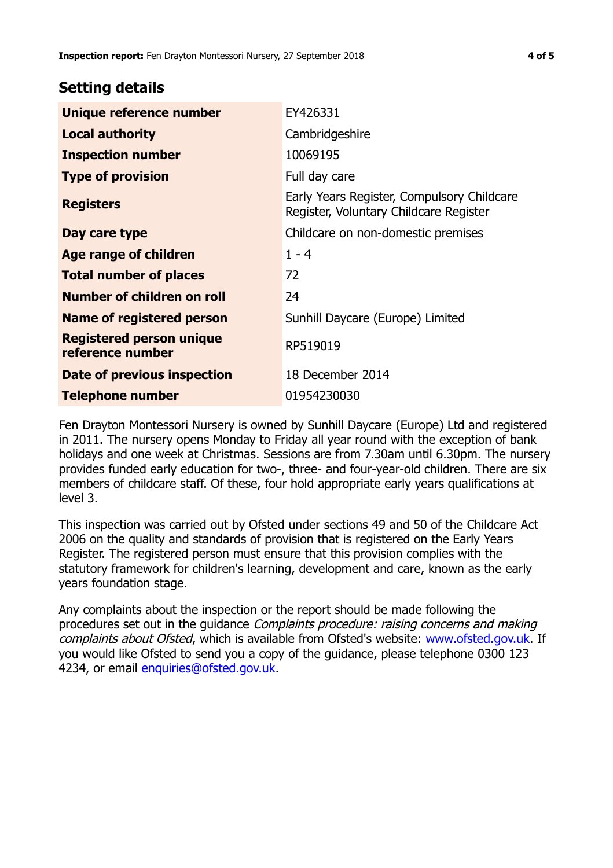### **Setting details**

| Unique reference number                             | EY426331                                                                             |  |
|-----------------------------------------------------|--------------------------------------------------------------------------------------|--|
| <b>Local authority</b>                              | Cambridgeshire                                                                       |  |
| <b>Inspection number</b>                            | 10069195                                                                             |  |
| <b>Type of provision</b>                            | Full day care                                                                        |  |
| <b>Registers</b>                                    | Early Years Register, Compulsory Childcare<br>Register, Voluntary Childcare Register |  |
| Day care type                                       | Childcare on non-domestic premises                                                   |  |
| Age range of children                               | $1 - 4$                                                                              |  |
| <b>Total number of places</b>                       | 72                                                                                   |  |
| Number of children on roll                          | 24                                                                                   |  |
| Name of registered person                           | Sunhill Daycare (Europe) Limited                                                     |  |
| <b>Registered person unique</b><br>reference number | RP519019                                                                             |  |
| <b>Date of previous inspection</b>                  | 18 December 2014                                                                     |  |
| <b>Telephone number</b>                             | 01954230030                                                                          |  |

Fen Drayton Montessori Nursery is owned by Sunhill Daycare (Europe) Ltd and registered in 2011. The nursery opens Monday to Friday all year round with the exception of bank holidays and one week at Christmas. Sessions are from 7.30am until 6.30pm. The nursery provides funded early education for two-, three- and four-year-old children. There are six members of childcare staff. Of these, four hold appropriate early years qualifications at level 3.

This inspection was carried out by Ofsted under sections 49 and 50 of the Childcare Act 2006 on the quality and standards of provision that is registered on the Early Years Register. The registered person must ensure that this provision complies with the statutory framework for children's learning, development and care, known as the early years foundation stage.

Any complaints about the inspection or the report should be made following the procedures set out in the guidance Complaints procedure: raising concerns and making complaints about Ofsted, which is available from Ofsted's website: www.ofsted.gov.uk. If you would like Ofsted to send you a copy of the guidance, please telephone 0300 123 4234, or email [enquiries@ofsted.gov.uk.](mailto:enquiries@ofsted.gov.uk)